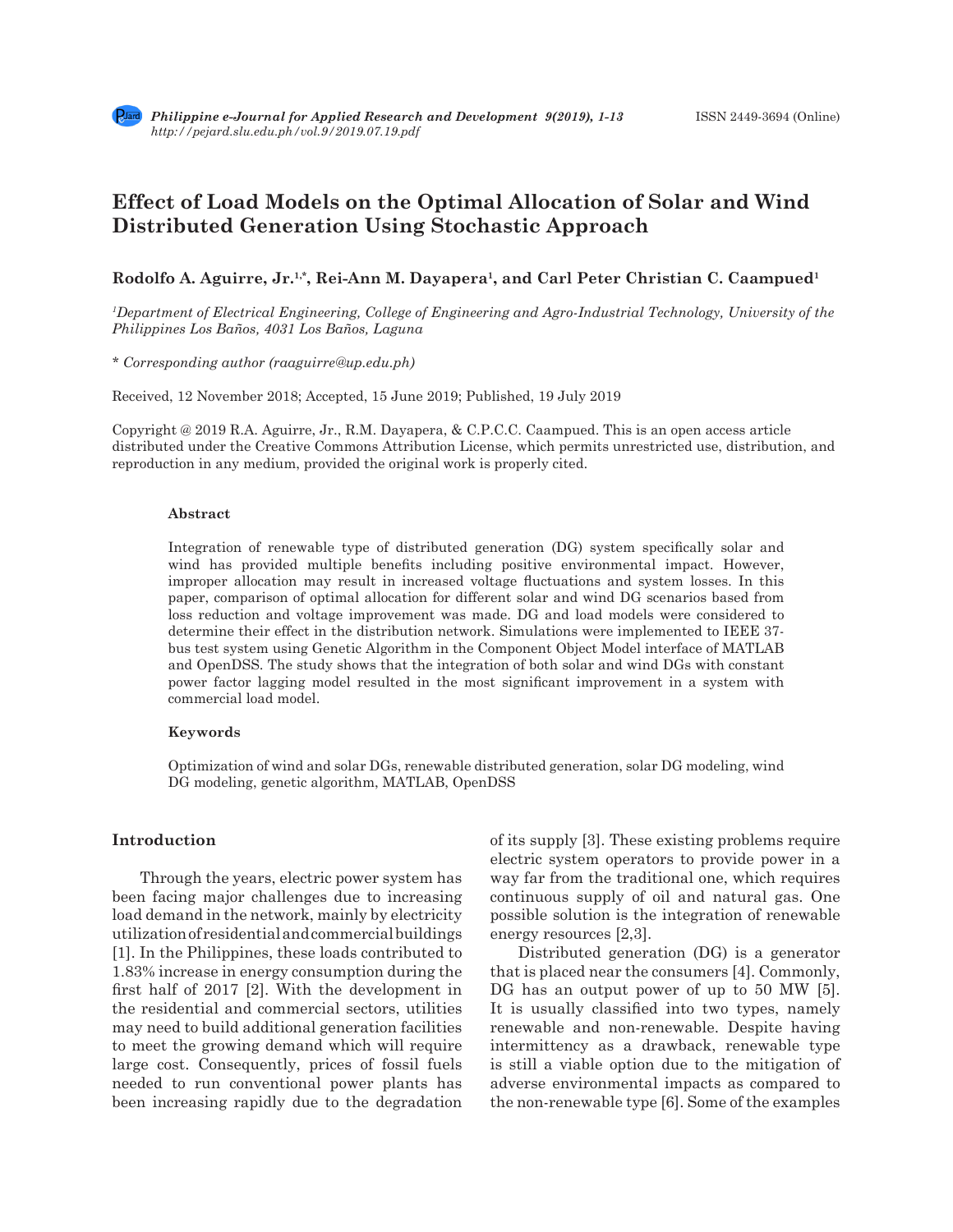# **Effect of Load Models on the Optimal Allocation of Solar and Wind Distributed Generation Using Stochastic Approach**

# Rodolfo A. Aguirre, Jr.<sup>1,\*</sup>, Rei-Ann M. Dayapera<sup>1</sup>, and Carl Peter Christian C. Caampued<sup>1</sup>

*1 Department of Electrical Engineering, College of Engineering and Agro-Industrial Technology, University of the Philippines Los Baños, 4031 Los Baños, Laguna*

*\* Corresponding author (raaguirre@up.edu.ph)*

Received, 12 November 2018; Accepted, 15 June 2019; Published, 19 July 2019

Copyright @ 2019 R.A. Aguirre, Jr., R.M. Dayapera, & C.P.C.C. Caampued. This is an open access article distributed under the Creative Commons Attribution License, which permits unrestricted use, distribution, and reproduction in any medium, provided the original work is properly cited.

## **Abstract**

Integration of renewable type of distributed generation (DG) system specifically solar and wind has provided multiple benefits including positive environmental impact. However, improper allocation may result in increased voltage fluctuations and system losses. In this paper, comparison of optimal allocation for different solar and wind DG scenarios based from loss reduction and voltage improvement was made. DG and load models were considered to determine their effect in the distribution network. Simulations were implemented to IEEE 37 bus test system using Genetic Algorithm in the Component Object Model interface of MATLAB and OpenDSS. The study shows that the integration of both solar and wind DGs with constant power factor lagging model resulted in the most significant improvement in a system with commercial load model.

## **Keywords**

Optimization of wind and solar DGs, renewable distributed generation, solar DG modeling, wind DG modeling, genetic algorithm, MATLAB, OpenDSS

# **Introduction**

Through the years, electric power system has been facing major challenges due to increasing load demand in the network, mainly by electricity utilization of residential and commercial buildings [1]. In the Philippines, these loads contributed to 1.83% increase in energy consumption during the first half of 2017 [2]. With the development in the residential and commercial sectors, utilities may need to build additional generation facilities to meet the growing demand which will require large cost. Consequently, prices of fossil fuels needed to run conventional power plants has been increasing rapidly due to the degradation of its supply [3]. These existing problems require electric system operators to provide power in a way far from the traditional one, which requires continuous supply of oil and natural gas. One possible solution is the integration of renewable energy resources [2,3].

Distributed generation (DG) is a generator that is placed near the consumers [4]. Commonly, DG has an output power of up to 50 MW [5]. It is usually classified into two types, namely renewable and non-renewable. Despite having intermittency as a drawback, renewable type is still a viable option due to the mitigation of adverse environmental impacts as compared to the non-renewable type [6]. Some of the examples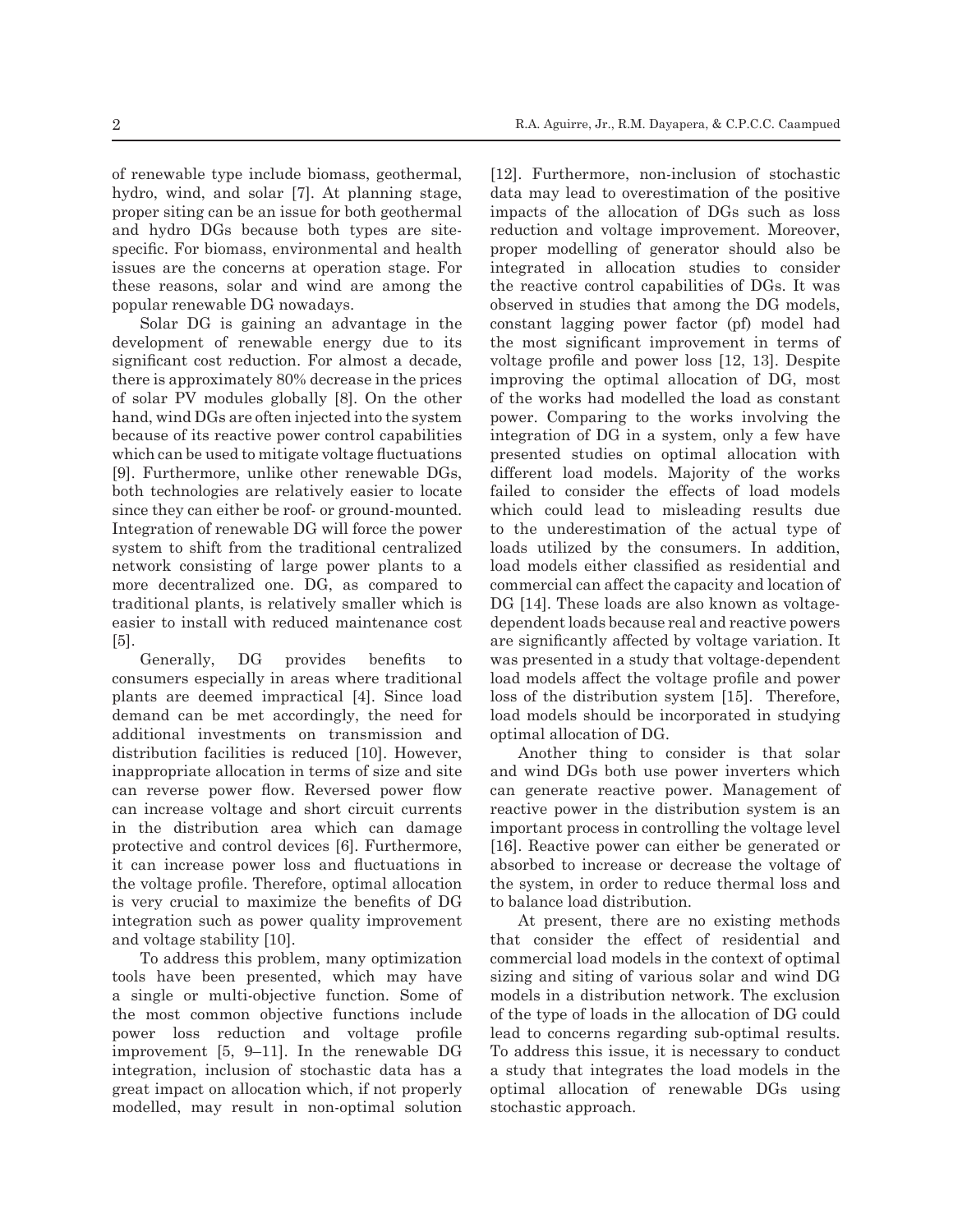of renewable type include biomass, geothermal, hydro, wind, and solar [7]. At planning stage, proper siting can be an issue for both geothermal and hydro DGs because both types are sitespecific. For biomass, environmental and health issues are the concerns at operation stage. For these reasons, solar and wind are among the popular renewable DG nowadays.

Solar DG is gaining an advantage in the development of renewable energy due to its significant cost reduction. For almost a decade, there is approximately 80% decrease in the prices of solar PV modules globally [8]. On the other hand, wind DGs are often injected into the system because of its reactive power control capabilities which can be used to mitigate voltage fluctuations [9]. Furthermore, unlike other renewable DGs, both technologies are relatively easier to locate since they can either be roof- or ground-mounted. Integration of renewable DG will force the power system to shift from the traditional centralized network consisting of large power plants to a more decentralized one. DG, as compared to traditional plants, is relatively smaller which is easier to install with reduced maintenance cost [5].

Generally, DG provides benefits to consumers especially in areas where traditional plants are deemed impractical [4]. Since load demand can be met accordingly, the need for additional investments on transmission and distribution facilities is reduced [10]. However, inappropriate allocation in terms of size and site can reverse power flow. Reversed power flow can increase voltage and short circuit currents in the distribution area which can damage protective and control devices [6]. Furthermore, it can increase power loss and fluctuations in the voltage profile. Therefore, optimal allocation is very crucial to maximize the benefits of DG integration such as power quality improvement and voltage stability [10].

To address this problem, many optimization tools have been presented, which may have a single or multi-objective function. Some of the most common objective functions include power loss reduction and voltage profile improvement [5, 9–11]. In the renewable DG integration, inclusion of stochastic data has a great impact on allocation which, if not properly modelled, may result in non-optimal solution [12]. Furthermore, non-inclusion of stochastic data may lead to overestimation of the positive impacts of the allocation of DGs such as loss reduction and voltage improvement. Moreover, proper modelling of generator should also be integrated in allocation studies to consider the reactive control capabilities of DGs. It was observed in studies that among the DG models, constant lagging power factor (pf) model had the most significant improvement in terms of voltage profile and power loss [12, 13]. Despite improving the optimal allocation of DG, most of the works had modelled the load as constant power. Comparing to the works involving the integration of DG in a system, only a few have presented studies on optimal allocation with different load models. Majority of the works failed to consider the effects of load models which could lead to misleading results due to the underestimation of the actual type of loads utilized by the consumers. In addition, load models either classified as residential and commercial can affect the capacity and location of DG [14]. These loads are also known as voltagedependent loads because real and reactive powers are significantly affected by voltage variation. It was presented in a study that voltage-dependent load models affect the voltage profile and power loss of the distribution system [15]. Therefore, load models should be incorporated in studying optimal allocation of DG.

Another thing to consider is that solar and wind DGs both use power inverters which can generate reactive power. Management of reactive power in the distribution system is an important process in controlling the voltage level [16]. Reactive power can either be generated or absorbed to increase or decrease the voltage of the system, in order to reduce thermal loss and to balance load distribution.

At present, there are no existing methods that consider the effect of residential and commercial load models in the context of optimal sizing and siting of various solar and wind DG models in a distribution network. The exclusion of the type of loads in the allocation of DG could lead to concerns regarding sub-optimal results. To address this issue, it is necessary to conduct a study that integrates the load models in the optimal allocation of renewable DGs using stochastic approach.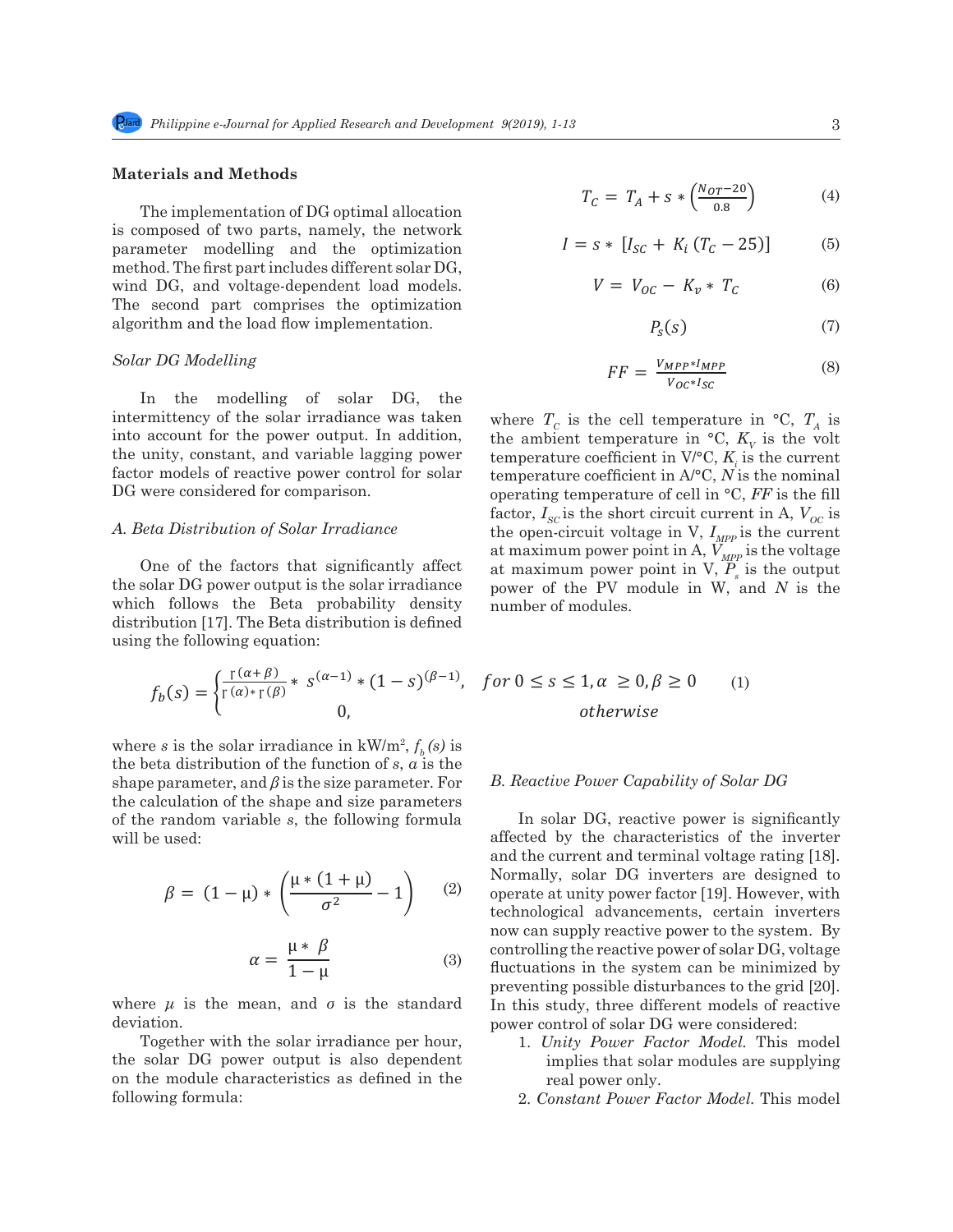# **Materials and Methods**

The implementation of DG optimal allocation is composed of two parts, namely, the network parameter modelling and the optimization method. The first part includes different solar DG, wind DG, and voltage-dependent load models. The second part comprises the optimization algorithm and the load flow implementation.  $P_c(s)$ 

In the modelling of solar  $DG$ , the intermittency of the solar irradiance was taken into account for the power output. In addition, the unity, constant, and variable lagging power factor models of reactive power control for solar the model intermittent in  $\mathcal{N} \subset \mathbb{R}$  is the control for solar the solar temperature coefficient in  $\mathcal{N}^{\circ} \subset \mathbb{R}$  is the no DG were considered for comparison. 98 *Solar DG Modelling*  $\frac{01}{1}$ 

# *A. Beta Distribution of Solar Irradiance* the open-circuit voltage

One of the factors that significantly affect the solar DG power output is the solar irradiance which follows the Beta probability density number of modules. distribution [17]. The Beta distribution is defined  $\frac{1}{2}$ using the following equation: the solar DG power output is the solar irradiance power of the PV module in W, and N is the

$$
f_b(s) = \begin{cases} \frac{\Gamma(\alpha+\beta)}{\Gamma(\alpha)*\Gamma(\beta)} * s^{(\alpha-1)} * (1-s)^{(\beta-1)}, & \text{for } 0 \le s \le 0\\ 0, & \text{otherwise} \end{cases}
$$

where *s* is the solar irradiance in  $kW/m^2$ ,  $f_b(s)$  is the solar integration of the function of *s*, *a* is the the beta distribution of the function of *s*, *a* is the shape and *β* is the shape and *β* is the size parameter. For the *R Regative Power Capability of Solar DC Shape parameter, and <i>p* is the size parameter, *Formula B. Redeffect Cupub*<br>the calculation of the shape and size parameters  $v = \frac{1}{2}$ shape parameter, and  $\beta$  is the size parameter. For the solar is the solar in solar in the solar is the solar in the solar in the solar in the solar in the solar in the solar in the solar in the solar in the solar in the for the random variable *s*, the following formula in solar DG, reactive will be used:

$$
\beta = (1 - \mu) * \left( \frac{\mu * (1 + \mu)}{\sigma^2} - 1 \right) \tag{2}
$$

$$
\alpha = \frac{\mu * \beta}{1 - \mu} \tag{3}
$$

where *μ* is the mean, and *σ* is the standard In this study. deviation.  $\blacksquare$  power control of solar DG were considered: deviation.

 $Together with the solar irradiance per hour,$ on the module characteristics as defined in the real power only<br>following formula:  $\frac{2 \text{ Constant Power}}{2 \text{ Constant Power}}$ the solar DG power output is also dependent following formula:

$$
T_C = T_A + s * \left(\frac{N_{OT} - 20}{0.8}\right) \tag{4}
$$

$$
I = s * [I_{SC} + K_i (T_C - 25)]
$$
 (5)

$$
V = V_{OC} - K_v * T_C \tag{6}
$$

algorithm and the load flow implementation. 
$$
P_s(s)
$$
 (7)

Solar DG Modelling

\n
$$
FF = \frac{V_{MPP} * I_{MPP}}{V_{OC} * I_{SC}}
$$
\n(8)

101 account for the power constant, and variable competition in and variable lagging power considered for comparison.<br>
00 were considered for comparison.  $\frac{1}{2}$  were constructed to compute the computation of the computation of the computation of the computation of  $T_{sc}$  is the short circuit current in A,  $V_{oc}$  is  $\frac{1}{\text{at max}}$ where  $T_c$  is the cell temperature in  $\mathrm{C}$ ,  $T_A$  is the ambient temperature in  $\mathrm{C}$ ,  $K_v$  is the volt temperature coefficient in  $V$ <sup>o</sup>C,  $K$ <sub>i</sub> is the current temperature coefficient in A/°C, *N* is the nominal the open-circuit voltage in V,  $I_{\text{MPP}}$  is the current at maximum power point in A,  $V_{\textit{MPP}}$  is the voltage at maximum power point in  $V, P_s$  is the output number of modules.

$$
f^{(1)} * (1 - s)^{(\beta - 1)}, \quad \text{for } 0 \le s \le 1, \alpha \ge 0, \beta \ge 0 \tag{1}
$$
\n
$$
0, \quad \text{otherwise}
$$

# *B. Reactive Power Capability of Solar DG*

and the current and terminal voltage rating [18].<br>Normally solar DG inverters are designed to (3) technological advancements, certain inverters  $1 - \mu$  preventing possible disturbances to the grid [20].  $\left(\frac{2}{\sigma^2}-1\right)$  (2) operate at unity power factor [19]. However, with technological advancements, certain inverters (3) fluctuations in the system can be minimized by In solar DG, reactive power is significantly affected by the characteristics of the inverter Normally, solar DG inverters are designed to now can supply reactive power to the system. By controlling the reactive power of solar DG, voltage In this study, three different models of reactive

- 1. *Unity Power Factor Model.* This model implies that solar modules are supplying real power only.
- <sup>1</sup> Fear power only.<br>
2. *Constant Power Factor Model*. This model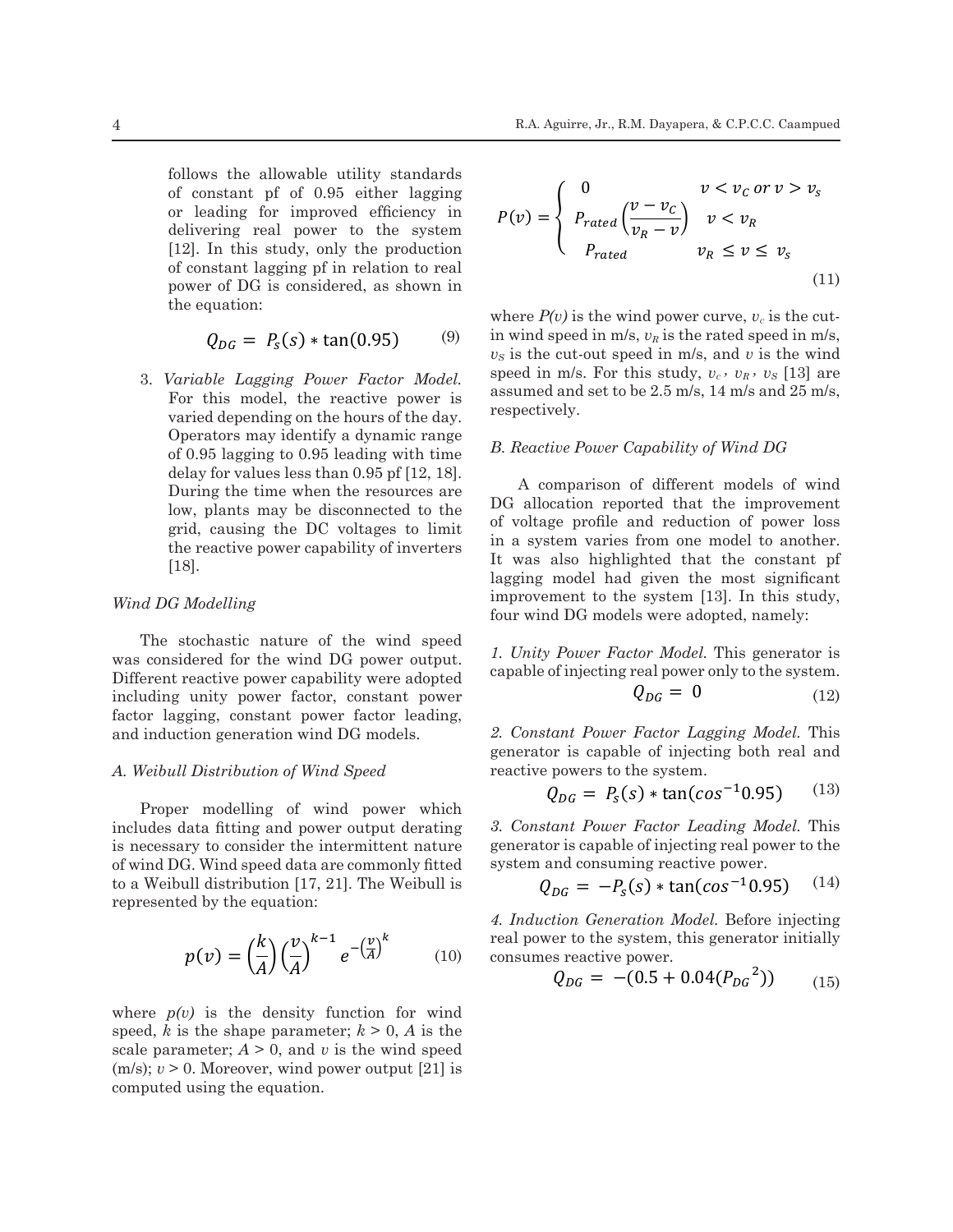$16$  follows the allowable utility standards of constant pf of 0.95 either lagging or leading for improved efficiency in  $p(y) = \begin{cases} y - v_c \\ p \end{cases}$ . delivering real power to the system  $P$ [12]. In this study, only the production  $P_{rated}$ between the constant range primarised to real the constant range of DG is considered, as shown in  $(11)$ the equation: 133 the grid [20]. In this study, three different models of reactive power control of solar DG were the equation: where  $P(v)$  is the equation:  $\mathbf{L}(\mathbf{r}) = \mathbf{L}(\mathbf{r})$  is the reactive power of solar power of solar solar power of solar solar solar power of solar solar solar solar solar solar solar solar solar solar solar solar solar solar solar s mosted, as shown in  $\blacksquare$ 162 parameter; > 0, and *v* is the wind speed (m/s); *v* > 0. Moreover, wind power output [21] is m/s, is the cut-out speed in many speed in many speed in many speed in many speed in many study, is the wind speed in many study, in the wind speed in many study, is the wind speed in many study, in the study, is the study

where  

$$
Q_{DG} = P_s(s) * \tan(0.95)
$$
 (9) in win

 $\frac{1}{2}$  For this model, the reactive power is assumed and set to be 2.5 m varied depending on the hours of the day. respectively. Operators may identify a dynamic range  $\overline{B}$  Reactive Power Capability of Wind DG of 0.95 lagging to 0.95 leading with time  $\frac{B}{C}$ . Reactive Power Capability of Wind DG dolow for volume loss than 0.95 of [12, 18] the reactive power capability of inverters  $\frac{1}{2}$  in a system varies from  $\alpha$  or  $\alpha$ ,  $\beta$  and  $\alpha$  or  $\alpha$  and  $\alpha$  or  $\alpha$  and  $\alpha$  or  $\beta$  or  $\alpha$  and  $\alpha$  or  $\alpha$  or  $\alpha$  or  $\alpha$  or  $\alpha$  or  $\alpha$  or  $\alpha$  or  $\alpha$  or  $\alpha$  or  $\alpha$  or  $\alpha$  or  $\alpha$  or  $\alpha$  or  $\alpha$  or  $\alpha$  or  $\alpha$  or  $\alpha$  or  $\alpha$ During the time when the resources are  $\overline{C}^{\text{A}}_{\text{coll}}$ During the time when the resources are  $\prod_{i=1}^{n}$  DG allocation to real power of  $\prod_{i=1}^{n}$  properties are grid, causing the DC voltages to limit of voltage profile and<br>the reactive power capability of inverters in a system varies from [18]. <sup>2</sup>y a dynamic range *B. Reactive Power Capability of Wind DG* ma  $h_{0}$ power capability of inverters in a system varies In the system of Window Capability of Wind DG ing to 0.95 leading with time B. Reactive Power Capability of Wind DG

155 *A. Weibull Distribution of Wind Speed* was considered for the wind DG power output.<br>Different reactive power capability were adopted capable of injecting real po including unity power factor, constant power  $Q_{DG}$ factor lagging, constant power factor leading, The stochastic nature of the wind speed<br> $l$ , Unity Power Factor Model. This generator is was considered for the wind DG power output. and induction generation wind DG models. 2. Constant Power Factor 182 *3. Constant Power Factor Leading Model (Model 3).* This generator is capable of injecting stant power factor leading,<br>ation wind DG models. 2. Constant Power Factor Lagging Model. This by our capability were adopted.  $174$  also highlighted that the constant pf lagging model had given the most significant improvement to most significant improvement to  $\frac{1}{\sqrt{2}}$ 

### ll Distribu  $\overline{\phantom{a}}$ .<br>ion  $\overline{a}$ *A. Weibull Distribution of Wind Speed* reactive powers to

Proper modelling of wind power which I Toper modelling of wind power wind<br>includes data fitting and power output derating is necessary to consider the intermittent nature of wind DG. Wind speed data are commonly fitted system and consuming read to a Weibull distribution [17, 21]. The Weibull is  $Q_{DC} = -P_s(s) * ta$ represented by the equation: 185 *4. Induction Generation Model (Model 4).* Before injecting real power to the system, this ng oi

$$
p(v) = \left(\frac{k}{A}\right) \left(\frac{v}{A}\right)^{k-1} e^{-\left(\frac{v}{A}\right)^k} \tag{10}
$$

where  $p(v)$  is the density function for wind speed,  $\vec{k}$  is the shape parameter;  $k > 0$ ,  $\vec{A}$  is the scale parameter;  $A > 0$ , and v is the wind speed  $(m/s); v > 0.$  Moreover, wind power output [21] is computed using the equation.  $\geq 0$ , and v is the wind speed<br>on wind nower output  $[91]$  is  $\frac{1}{2}$  distribution system  $\frac{1}{2}$ . The voltage dependence of the following by the following by the following by the following by the following by the following by the following by the following by the following by t 192 equations:

of constant pf of 0.95 either lagging  
or leading for improved efficiency in  
(12]. In this study, only the production  
of constant lagging pf in relation to real  
power of DG is considered as shown in  

$$
P(v) = \begin{cases} 0 & v < v_C \text{ or } v > v_S \\ P_{rated} & v < v_R \\ P_{rated} & v_R \le v \le v_S \end{cases}
$$
 (11)

 $Q_{DG} = P_s(s) * \tan(0.95)$  (9) in wind speed in m/s,  $v_R$  is the rated speed in m/s,<br> $v_S$  is the cut-out speed in m/s, and v is the wind 3. *Variable Lagging Power Factor Model.* speed in m/s. For this studies  $Q_{DG} = P_s(s) * \tan(0.95)$  (9) in the system can be minimized by preventions of  $Q_{DG} = P_s(s) * \tan(0.95)$  (9) in wind speed in m/s,  $v_R$  is the rated speed in m/s, is the where  $P(v)$  is the wind power curve,  $v_c$  is the cutver Factor Model.<br>
reactive power is assumed and set to be 2.5 m/s, 14 m/s and 25 m/s,  $\frac{1}{25}$  m/s, respectively.  $\frac{1}{2}$  speed in m/s. For this study,  $v_c$ ,  $v_R$ ,  $v_S$  [13] are  $r_{\text{av}}$  respectively. − a set to be 2.5 m/s, 14 m/s ar<br>. e 2.5 m el, the reactive power is assumed and set to be 2.5 m/s, 14 m/s and 25 m/s,  $\frac{1}{2}$ 

the reactive power capability of inverters<br>[18]. It was also highlighted that the constant pf  $1333  $\frac{133}{2} < 1$$ *Wind DG Modelling* intervent to the system with the system of the system of the system of  $\Gamma$  $[18]$ . lagging model had given the most significant 166 time when the resources are low, plants may be disconnected to the grid, causing the grid, causing the DC lues less than 0.95 pf [12, 18].<br>  $\Delta$  comparison of different models of wind<br>  $\Delta$  comparison of different models of wind may be disconnected to the  $\frac{120 \text{ m}}{20 \text{ m}}$  and reported that the improvement of  $\frac{120 \text{ m}}{20 \text{ m}}$  of voltage profile and reduction of power loss improvement to the system [13]. In this study, time when the resources are a comparison of unterest models of which<br>may be disconnected to the DG allocation reported that the improvement g the DC voltages to limit<br>nower capability of invortors in a system varies from one model to another. improvement to the system  $[10]$ . In this study, four wind DG models were adopted, namely: 175 the system of the study, four wind DG models were adopted, namely:  $\frac{1}{2}$  allocation reported that the improvement to the system improvement to the system [13]. In this study,  $171$  following to another profile and reduction  $175$ . It was seedy,  $175$  four wind DG models were adopted, namely:

> the wind DG power output. 1. Unity Power Factor Model. This generator is the wind DG power output.<br>
> capable of injecting real power only to the system.<br>  $Q = 0$

$$
Q_{DG} = 0 \tag{12}
$$

oic<br>dha generator is capable of injecting both real and<br>A Weihull Distribution of Wind Speed<br>reactive powers to the system  $\begin{aligned} \text{R}^{(i)} \text{ is a constant.} \\ \text{L}^{(i)} \text{ is a constant.} \\ \text{L}^{(i)} \text{ is a constant.} \\ \text{L}^{(i)} \text{ is a constant.} \\ \text{L}^{(i)} \text{ is a constant.} \end{aligned}$ 

$$
Q_{DG} = P_s(s) * \tan(\cos^{-1} 0.95) \tag{13}
$$
ng of wind power which

and power output derating 3. Constant Power Factor Leading Model. This g and power output derating 5. Constant Fower Pactor Leading Model. This<br>ider the intermittent nature generator is capable of injecting real power to the ed data are commonly fitted system and consuming reactive power.

$$
Q_{DG} = -P_s(s) * \tan(\cos^{-1} 0.95) \quad (14)
$$

 $\left(\frac{\kappa}{4}\right)\left(\frac{\nu}{4}\right)^{n}$   $e^{-\left(\frac{\nu}{4}\right)}$  (10) consumes reactive power. 4. Induction Generation Model. Before injecting  $\binom{n}{k}$   $\binom{n}{k}$   $\binom{n}{k}$  real power to the system, this generator initially (tor initially <sup>4</sup>. *Induction Generation Model*. Before injecting<br>real power to the system, this generator initially<br> $\left(\frac{v}{\lambda}\right)\left(\frac{v}{\lambda}\right)^{k-1}$   $e^{-\left(\frac{v}{\lambda}\right)^k}$ 

$$
Q_{DG} = -(0.5 + 0.04(P_{DG}^{2}))
$$
 (10) consumes reactive power.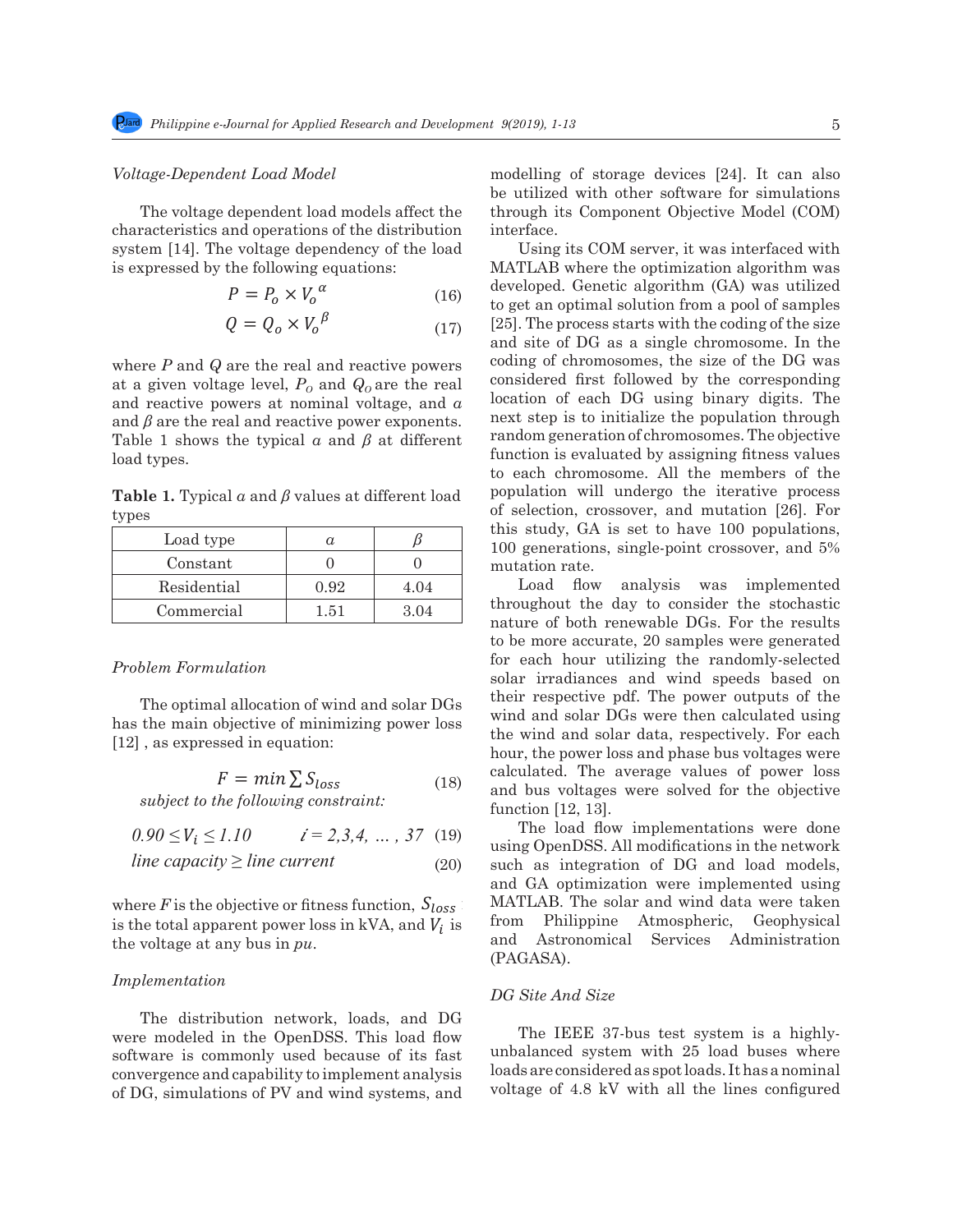### *Voltage-Dependent Load Model* 188 *Voltage-Dependent Load Model*

The voltage dependent load models affect the characteristics and operations of the distribution interface. system [14]. The voltage dependency of the load Using its COM serve is expressed by the following equations:

185 *4. Induction Generation Model (Model 4).* Before injecting real power to the system, this

$$
P = P_o \times V_o^{\alpha} \tag{16}
$$

$$
Q = Q_o \times V_o^{\ \beta} \tag{17}
$$

where *P* and *Q* are the real and reactive powers coding of chromosomes, at a given voltage level,  $P_0$  and  $Q_0$  are the real<br>and reactive powers at nominal voltage, and *α* and  $\beta$  are the real and reactive power exponents.  $\blacksquare$ at a given voltage level,  $P_0$  and  $Q_0$  are the real Table 1 shows the typical *α* and *β* at different load types.

**Table 1.** Typical *α* and *β* values at different load types

| Load type   | $\boldsymbol{\mu}$ |      |
|-------------|--------------------|------|
| Constant    |                    |      |
| Residential | 0.92               | 4.04 |
| Commercial  | 1.51               | 3.04 |

# **Problem Formulation**

The optimal allocation of wind and solar DGs has the main objective of minimizing power loss [12] , as expressed in equation: the wind and solar data, respectively. For each<br>[12] as expressed in equation  $\frac{1}{2}$ , as expressed in equation (18).  $\left[12\right]$ , as expressed

$$
F = \min \sum S_{loss}
$$
 calculated. The aver-  
and bus voltages wer

<sup>203</sup> *subject to the following constraint:* <sup>204</sup> *subject to the following constraint:* <sup>203</sup> *subject to the following constraint:* <sup>204</sup>  $\frac{1}{2}$   $\frac{1}{2}$   $\frac{1}{2}$   $\frac{1}{2}$   $\frac{1}{2}$   $\frac{1}{2}$   $\frac{1}{2}$   $\frac{1}{2}$   $\frac{1}{2}$   $\frac{1}{2}$   $\frac{1}{2}$   $\frac{1}{2}$   $\frac{1}{2}$   $\frac{1}{2}$   $\frac{1}{2}$   $\frac{1}{2}$   $\frac{1}{2}$   $\frac{1}{2}$   $\frac{1}{2}$   $\frac{1}{2}$   $\frac{1}{2}$   $\frac{1}{2}$ 

$$
0.90 \le V_i \le 1.10
$$
  $i = 2,3,4, ..., 37$  (19) The load flow in using OpenDSS. All m

line capacity 
$$
\geq
$$
 line current (20)

wher is the total apparent power loss in kVA, and  $V_i$  is<br>the voltage at any bus in  $pu$ .

# 208 *Implementation Implementation*

The distribution network, loads, and DG were modeled in the OpenDSS. This load flow The IEEE 37-bus test system is a highl software is commonly used because of its fast unbalanced system with 25 load buses when<br>loads are considered as not loads that of DG, simulations of PV and wind systems, and voltage of 4.8 kV with  $\varepsilon$ convergence and capability to implement analysis loads are considered as spot loads. It has a noming

modelling of storage devices [24]. It can also be utilized with other software for simulations through its Component Objective Model (COM) interface.

2)) (15)

 $\alpha$  developed. Genetic algorithm (GA) was utilized<br>(16) developed. Genetic algorithm (GA) was utilized  $\beta$  (17) [25]. The process starts with the coding of the size 193 where *P* and *Q* are the real and reactive powers at a given voltage level, and are the real and this study, GA is set to have 100 populations, 6 100 generations, single-point crossover, and 5% Using its COM server, it was interfaced with MATLAB where the optimization algorithm was to get an optimal solution from a pool of samples and site of DG as a single chromosome. In the coding of chromosomes, the size of the DG was considered first followed by the corresponding location of each DG using binary digits. The next step is to initialize the population through random generation of chromosomes. The objective function is evaluated by assigning fitness values to each chromosome. All the members of the population will undergo the iterative process of selection, crossover, and mutation [26]. For mutation rate.

> $F = min \sum S_{loss}$  (18) calculated. The average values of power loss calculated. The average values of power loss  $\begin{array}{c|c|c|c|c|c} \hline 0.92 & 4.04 & 2.04 & 1000 & 2.04 & 1000 & 2.08 & 2.04 & 2.04 \ \hline \end{array}$  throughout the day to consider the stochastic  $\frac{1.51}{0.04}$  nature of both renewable DGs. For the results to be more accurate, 20 samples were generated for each hour utilizing the randomly-selected [12], as expressed in equation: hour, the power loss and phase bus voltages were  $\mathcal{L}$   $(10)$  and bus voltages were solved for the objective Load flow analysis was implemented solar irradiances and wind speeds based on their respective pdf. The power outputs of the wind and solar DGs were then calculated using function [12, 13].

*line capacity*  $\geq$  *line current* (20) such as integration of DG and load models, and GA optimization we<br>where *F* is the chiestive or fitness function, **S**. MATLAR The solar and where F is the objective or fitness function,  $S_{loss}$  MATLAB. The solar and wind data were take  $u$  *z*,*z*, *i*, *...*, *z*, (10) using OpenDSS. All modifications in the network<br>urrent (20) such as integration of DG and load models and GA optimization were implemented using The load flow implementations were done MATLAB. The solar and wind data were taken from Philippine Atmospheric, Geophysical and Astronomical Services Administration (PAGASA).

# 210 The distribution network, loads, and DG were modeled in the OpenDSS. This load flow 210 The distribution network, loads, and DG were modeled in the OpenDSS. This load flow *DG Site And Size*

The IEEE 37-bus test system is a highlyunbalanced system with 25 load buses where loads are considered as spot loads. It has a nominal voltage of 4.8 kV with all the lines configured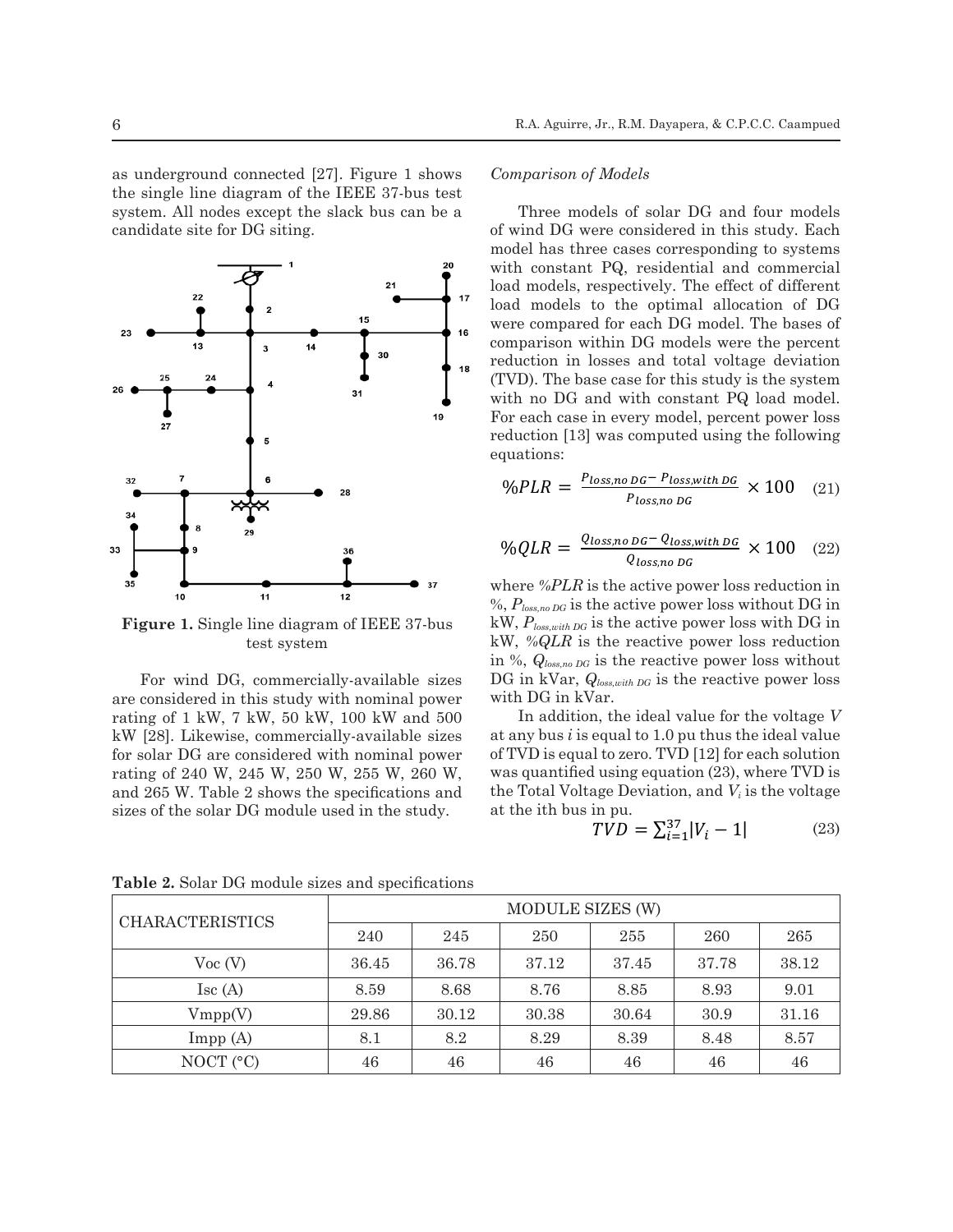as underground connected [27]. Figure 1 shows the single line diagram of the IEEE 37-bus test system. All nodes except the slack bus can be a candidate site for DG siting.



**Figure 1.** Single line diagram of IEEE 37-bus kW, P test system

For wind DG, commercially-available sizes DG in kVar,  $Q_{loss, with D}$ are considered in this study with nominal power with DG in kVar. rating of 1 kW, 7 kW, 50 kW, 100 kW and 500 In addition, the id Earling of T KW, T KW, 80 KW, 100 KW and 300 The solar module is reactive power loss with and sizes with and sizes with and sizes with DG in the solar power loss with DG in the specification of the solar power loss with D sizes of the solar DG module used in the study. for solar DG are considered with nominal power rating of 240 W, 245 W, 250 W, 255 W, 260 W, and 265 W. Table 2 shows the specifications and is study with nominal power with DG in Kvar.<br>W, 50 kW, 100 kW and 500  $\hskip 1.5 cm$  In addition, the ideal value for the voltage  $V$ 

## *Comparison of Models*

9 Three models of solar DG and four models of wind DG were considered in this study. Each model has three cases corresponding to systems with constant PQ, residential and commercial load models, respectively. The effect of different load models to the optimal allocation of DG were compared for each DG model. The bases of comparison within DG models were the percent reduction in losses and total voltage deviation (TVD). The base case for this study is the system  $\bullet$  with no DG and with constant PQ load model.  $\frac{19}{26}$  For each case in every model, percent power loss each constant  $\frac{1}{2}$ <sup>5</sup> reduction [13] was computed using the following equations: equations: equations:

$$
\bullet \quad \text{as} \quad \text{96PLR} = \frac{P_{loss, no\,D G} - P_{loss, with\,D G}}{P_{loss, no\,D G}} \times 100 \quad (21)
$$

$$
\%QLR = \frac{Q_{loss,no\,DG} - Q_{loss,with\,DG}}{Q_{loss,no\,DG}} \times 100 \quad (22)
$$

<sup>11</sup> <sup>2</sup><sup>2</sup> where *in* Ext is the active power loss reduction in  $\frac{6}{96}P_{loss, no\,DG}$  is the active power loss without DG in me diagram of IEEE 37-bus  $\begin{array}{ll}\n\text{KW, } P_{loss, with DG} & \text{is the active power loss with DG in} \\
\downarrow W, P_{loss, with DG} & \text{is the active power loss with DG in} \\
\downarrow W, \phi \triangle OIP \text{ is the negative power loss reduction}\n\end{array}$ st system  $\lim_{N \to \infty} \frac{N}{N}$  is the reactive power loss reduction<br>in %,  $Q_{loss, no\,D}$  is the reactive power loss without where *%PLR* is the active power loss reduction in kW, *%QLR* is the reactive power loss reduction  $\text{1}\text{merically-available sizes}\quad \text{DG in kVar},\ Q_{loss, with\ DG} \text{ is the reactive power loss}$ with DG in kVar.

 $\text{commerically available sizes}$  at any bus *i* is equal to 1.0 pu thus the ideal value  $W$ , 250 W, 255 W, 260 W, was quantified using equation (23), where TVD is equal to consider the Total Velters Deviation and V is the value of deed with nominal power of TVD is equal to zero. TVD [12] for each solution  $\alpha$  is the specifications and the Total Voltage Deviation, and  $V_i$  is the voltage at the ith bus in pu.

$$
TVD = \sum_{i=1}^{37} |V_i - 1| \tag{23}
$$

|                         | MODULE SIZES (W) |       |       |       |       |       |
|-------------------------|------------------|-------|-------|-------|-------|-------|
| <b>CHARACTERISTICS</b>  | 240              | 245   | 250   | 255   | 260   | 265   |
| Voc(V)                  | 36.45            | 36.78 | 37.12 | 37.45 | 37.78 | 38.12 |
| $\operatorname{Isc}(A)$ | 8.59             | 8.68  | 8.76  | 8.85  | 8.93  | 9.01  |
| Vmpp(V)                 | 29.86            | 30.12 | 30.38 | 30.64 | 30.9  | 31.16 |
| Impp(A)                 | 8.1              | 8.2   | 8.29  | 8.39  | 8.48  | 8.57  |
| NOCT $(°C)$             | 46               | 46    | 46    | 46    | 46    | 46    |

Table 2. Solar DG module sizes and specifications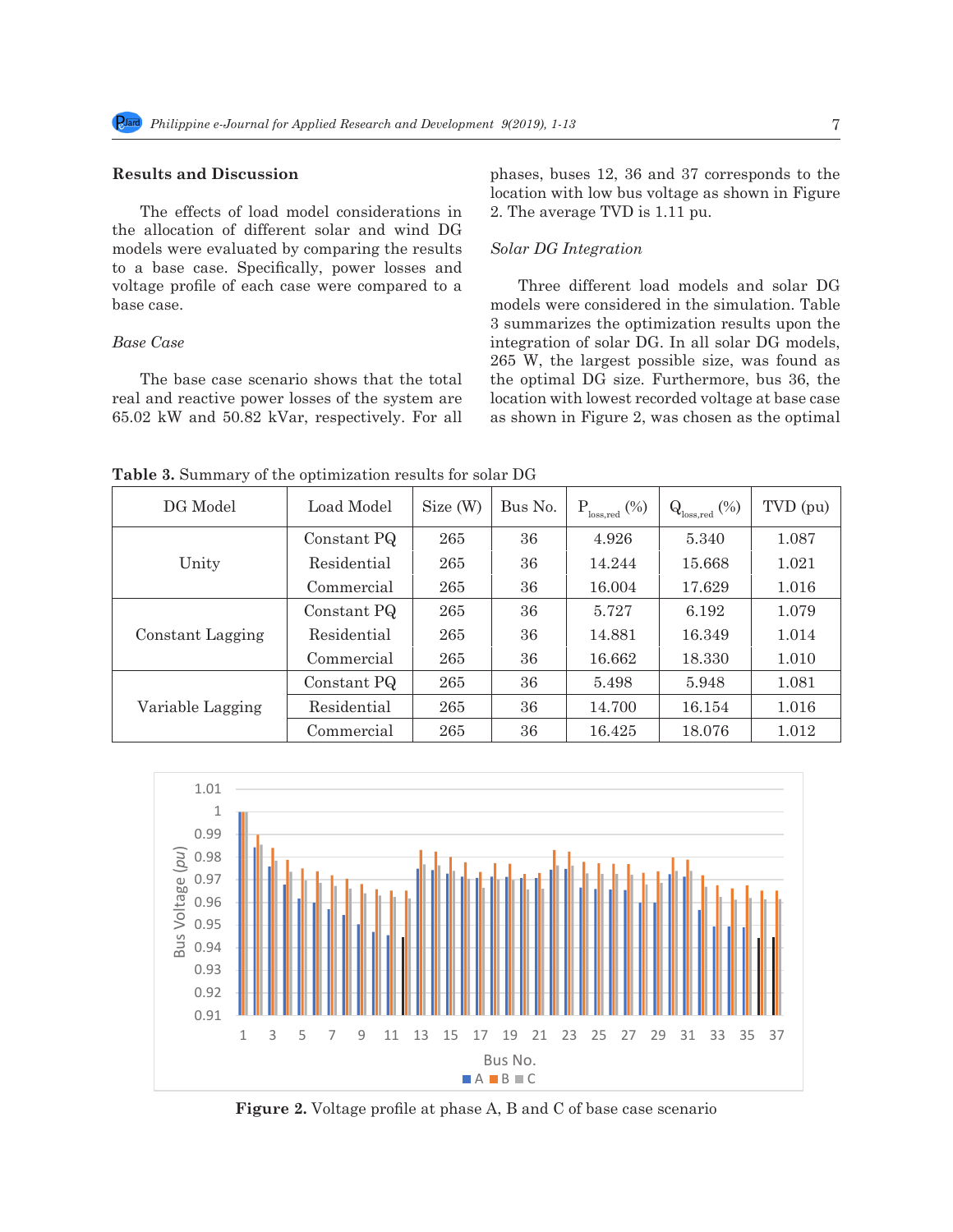# **Results and Discussion**

The effects of load model considerations in 2. The average TVD is 1.11 pu.<br>the ellection of different solar and wind  $DC$ the allocation of different solar and wind DG the amocation of different solar and with DG<br>models were evaluated by comparing the results Solar DG Integration to a base case. Specifically, power losses and  $\frac{1}{2}$  is the reactive power loss with DG in the reaction in the reaction in the reaction in the reaction in the reaction in the reaction in the reaction in the reaction in voltage profile of each case were compared to a base case.

# *Base Case*

The base case scenario shows that the total real and reactive power losses of the system are location<br> $c \in (2, 0.9, 1.1)$  and  $50.89$   $1.1/a$  meansatively. Eqn. all so show 65.02 kW and 50.82 kVar, respectively. For all

phases, buses 12, 36 and 37 corresponds to the location with low bus voltage as shown in Figure 2. The average TVD is 1.11 pu.  $\mathcal{L} = \mathcal{L} \mathcal{L} + \mathcal{L} \mathcal{L} \mathcal{L} + \mathcal{L} \mathcal{L} \mathcal{L} + \mathcal{L} \mathcal{L} \mathcal{L} \mathcal{L} + \mathcal{L} \mathcal{L} \mathcal{L} \mathcal{L} + \mathcal{L} \mathcal{L} \mathcal{L} \mathcal{L} + \mathcal{L} \mathcal{L} \mathcal{L} \mathcal{L} + \mathcal{L} \mathcal{L} \mathcal{L} \mathcal{L} + \mathcal{L} \mathcal{L} \mathcal{L} \mathcal{L} + \mathcal{L} \mathcal{L}$  $\overline{\phantom{a}}$ <sup>×</sup> <sup>100</sup> (22)

# *Solar DG Integration*

Three different load models and solar DG models were considered in the simulation. Table base case.<br>
28 In addition, the influence of the intervalue for the influence in the simulation. Table<br>
28 Summarizes the optimization results upon the Base Case **Examination of Summatrice** and optimization research appendix and the solution of solar DG. In all solar DG models,  $265 \text{ W}$ , the largest possible size, was found as  $265 \text{ W}$ , the largest possible size, was found as the optimal DG size. Furthermore, bus 36, the e location with lowest recorded voltage at base case<br> $\frac{1}{2}$  as shown in Figure 2, was chosen as the ontimal as shown in Figure 2, was chosen as the optimal

**Table 3.** Summary of the optimization results for solar DG

| DG Model         | Load Model  | Size (W) | Bus No. | $P_{loss,red}$ (%) | $Q_{loss, red}$ (%) | TVD (pu) |
|------------------|-------------|----------|---------|--------------------|---------------------|----------|
| Unity            | Constant PQ | 265      | 36      | 4.926              | 5.340               | 1.087    |
|                  | Residential | 265      | 36      | 14.244             | 15.668              | 1.021    |
|                  | Commercial  | 265      | 36      | 16.004             | 17.629              | 1.016    |
| Constant Lagging | Constant PQ | 265      | 36      | 5.727              | 6.192               | 1.079    |
|                  | Residential | 265      | 36      | 14.881             | 16.349              | 1.014    |
|                  | Commercial  | 265      | 36      | 16.662             | 18.330              | 1.010    |
| Variable Lagging | Constant PQ | 265      | 36      | 5.498              | 5.948               | 1.081    |
|                  | Residential | 265      | 36      | 14.700             | 16.154              | 1.016    |
|                  | Commercial  | 265      | 36      | 16.425             | 18.076              | 1.012    |



307 Figure 7. Voltage profile at phase A, B and C of base case scenario. **Figure 2.** Voltage profile at phase A, B and C of base case scenario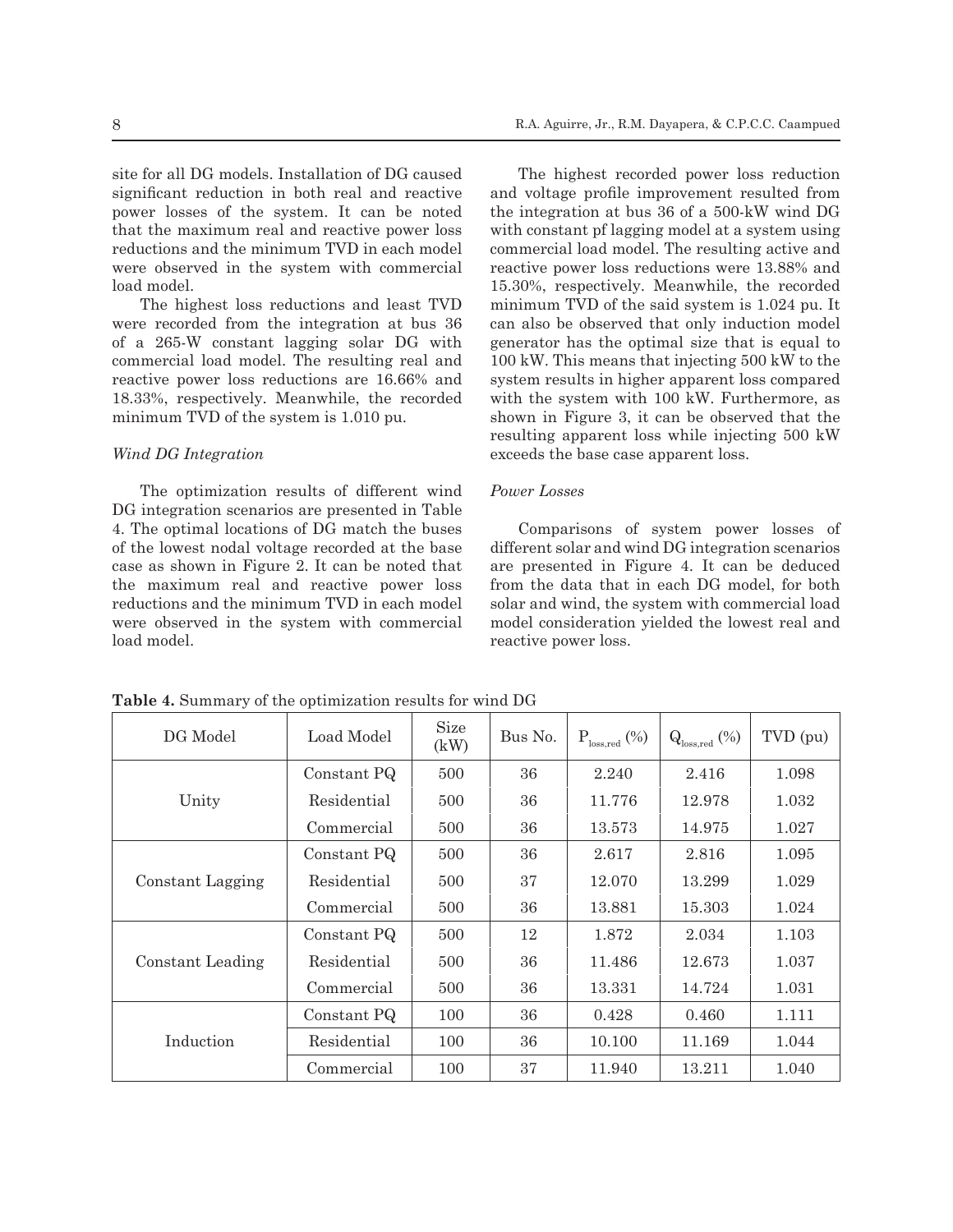site for all DG models. Installation of DG caused significant reduction in both real and reactive power losses of the system. It can be noted that the maximum real and reactive power loss reductions and the minimum TVD in each model were observed in the system with commercial load model.

The highest loss reductions and least TVD were recorded from the integration at bus 36 of a 265-W constant lagging solar DG with commercial load model. The resulting real and reactive power loss reductions are 16.66% and 18.33%, respectively. Meanwhile, the recorded minimum TVD of the system is 1.010 pu.

# *Wind DG Integration*

The optimization results of different wind DG integration scenarios are presented in Table 4. The optimal locations of DG match the buses of the lowest nodal voltage recorded at the base case as shown in Figure 2. It can be noted that the maximum real and reactive power loss reductions and the minimum TVD in each model were observed in the system with commercial load model.

The highest recorded power loss reduction and voltage profile improvement resulted from the integration at bus 36 of a 500-kW wind DG with constant pf lagging model at a system using commercial load model. The resulting active and reactive power loss reductions were 13.88% and 15.30%, respectively. Meanwhile, the recorded minimum TVD of the said system is 1.024 pu. It can also be observed that only induction model generator has the optimal size that is equal to 100 kW. This means that injecting 500 kW to the system results in higher apparent loss compared with the system with 100 kW. Furthermore, as shown in Figure 3, it can be observed that the resulting apparent loss while injecting 500 kW exceeds the base case apparent loss.

### *Power Losses*

Comparisons of system power losses of different solar and wind DG integration scenarios are presented in Figure 4. It can be deduced from the data that in each DG model, for both solar and wind, the system with commercial load model consideration yielded the lowest real and reactive power loss.

| DG Model         | Load Model  | <b>Size</b><br>(kW) | Bus No. | $P_{loss, red}$ (%) | $Qloss, red$ (%) | TVD (pu) |
|------------------|-------------|---------------------|---------|---------------------|------------------|----------|
|                  | Constant PQ | 500                 | 36      | 2.240               | 2.416            | 1.098    |
| Unity            | Residential | 500                 | 36      | 11.776              | 12.978           | 1.032    |
|                  | Commercial  | 500                 | 36      | 13.573              | 14.975           | 1.027    |
| Constant Lagging | Constant PQ | 500                 | 36      | 2.617               | 2.816            | 1.095    |
|                  | Residential | 500                 | 37      | 12.070              | 13.299           | 1.029    |
|                  | Commercial  | 500                 | 36      | 13.881              | 15.303           | 1.024    |
| Constant Leading | Constant PQ | 500                 | 12      | 1.872               | 2.034            | 1.103    |
|                  | Residential | 500                 | 36      | 11.486              | 12.673           | 1.037    |
|                  | Commercial  | 500                 | 36      | 13.331              | 14.724           | 1.031    |
| Induction        | Constant PQ | 100                 | 36      | 0.428               | 0.460            | 1.111    |
|                  | Residential | 100                 | 36      | 10.100              | 11.169           | 1.044    |
|                  | Commercial  | 100                 | 37      | 11.940              | 13.211           | 1.040    |

**Table 4.** Summary of the optimization results for wind DG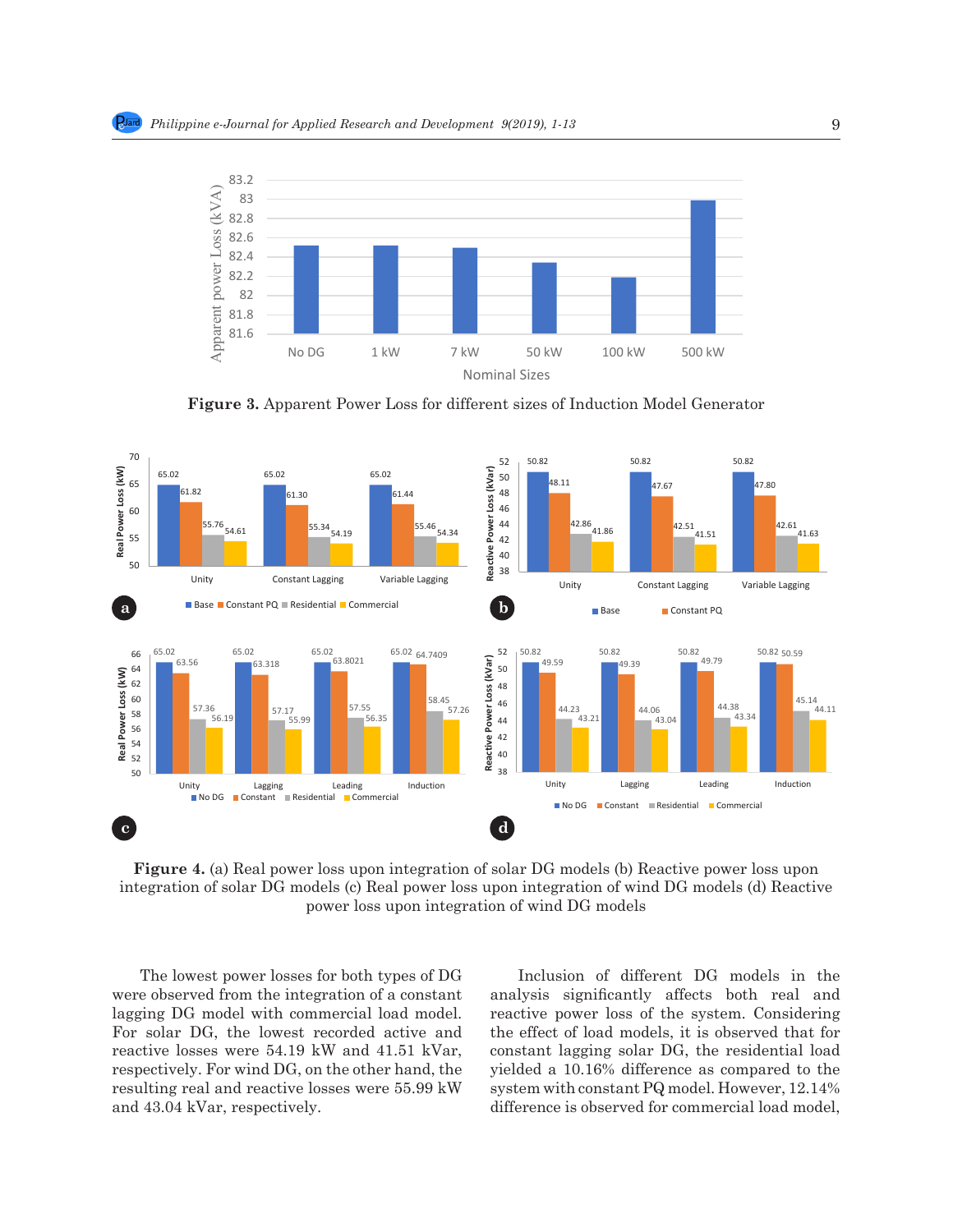

Figure 3. Apparent Power Loss for different sizes of Induction Model Generator



**Figure 4.** (a) Real power loss upon integration of solar DG models (b) Reactive power loss upon integration of solar DG models (c) Real power loss upon integration of wind DG models (d) Reactive power loss upon integration of wind DG models  $\alpha$  models reactive Power Power Power Power Power Power Power Power Power Power Power Power Power Power Power Power Power<br>Power Power Power Power Power Power Power Power Power Power Power Power Power Power Power Power Power Power Po<br> **Reactive Power Loss (kVar)** 11 integration of solar DG models (b) freactive power foss apon

The lowest power losses for both types of DG were observed from the integration of a constant lagging DG model with commercial load model. For solar DG, the lowest recorded active and reactive losses were 54.19 kW and 41.51 kVar, constar respectively. For wind DG, on the other hand, the yielded respectively. For wind DG, on the other hand, the greated resulting real and reactive losses were  $55.99 \text{ kW}$  system and 43.04 kVar, respectively. resulting real and reactive losses were 55.99 kW

Inclusion of different DG models in the analysis significantly affects both real and reactive power loss of the system. Considering active and  $\quad$  the effect of load models, it is observed that for 11.51 kVar, constant lagging solar DG, the residential load  $2\pi$  hand, the yielded a 10.16% difference as compared to the e  $55.99 \text{ kW}$  system with constant PQ model. However,  $12.14\%$ difference is observed for commercial load model,  $\frac{3}{27}$  and reactive losses were  $\frac{3}{27}$  and  $\frac{3}{27}$  kVar,  $\frac{3}{27}$  connected to the other hand, the other hand,  $\frac{3}{27}$  connected to the other hand,  $\frac{3}{27}$  connected to the other hand,  $\frac{3}{27}$  connec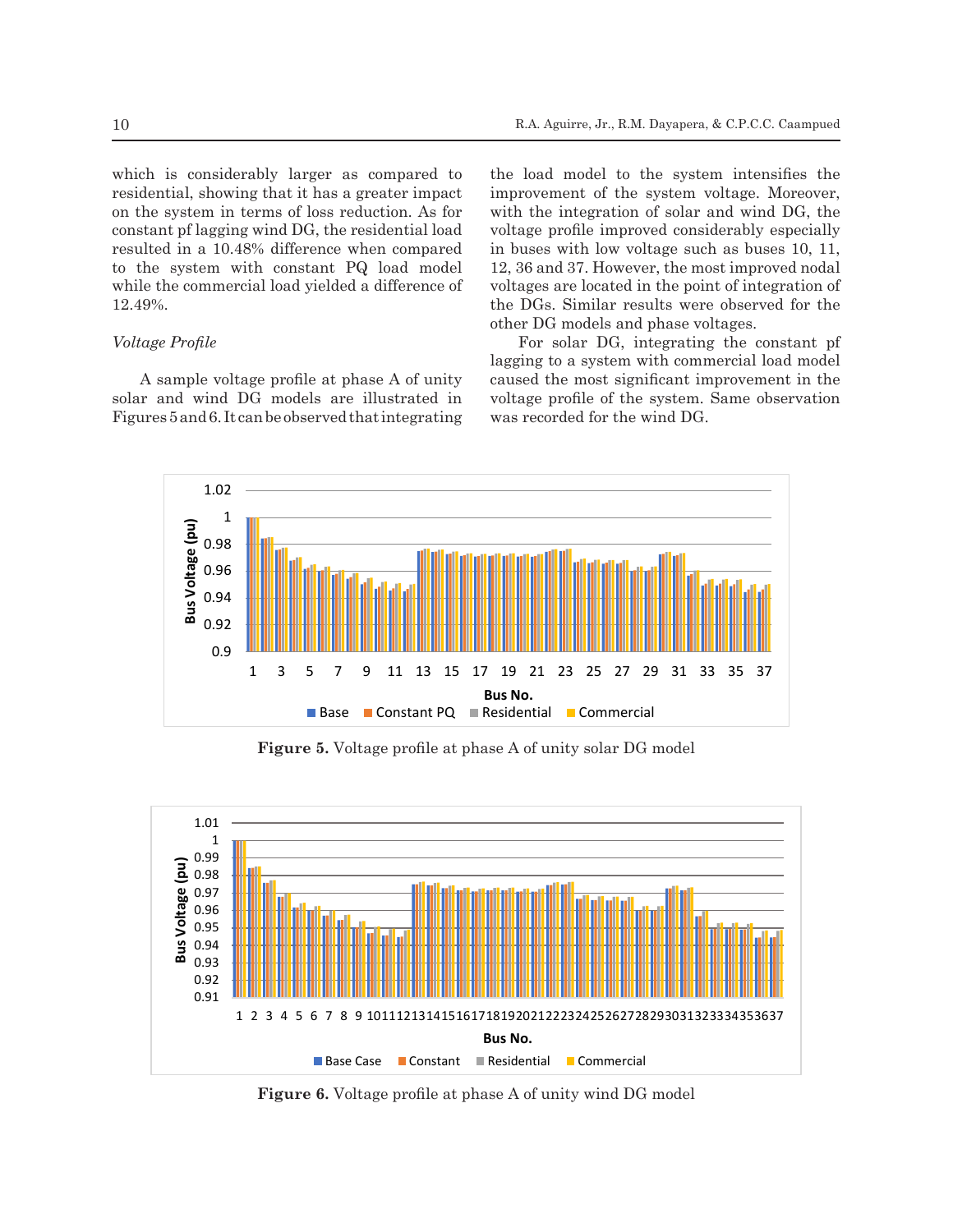residential, showing that it has a greater impact improvement of the system intensines the residential, showing that it has a greater impact  $\overline{3}$  on the system in terms of loss reduction. As for with the integration of solar and wind DG, the on the system in terms of loss reduction. As for constant pf lagging wind DG, the residential load constant priagging wind DO, the residential load your volume Profile Profile Profile and the residential load to the system with constant PQ load model while the commercial load yielded a difference of voltages are located in the point of integration of 12.49%.

# *Voltage Profile*

A sample voltage profile at phase A of unity solar and wind DG models are illustrated in voltage profile of the system. Same observation

which is considerably larger as compared to the load model to the system intensifies the the load model to the system intensifies the improvement of the system voltage. Moreover, with the integration of solar and wind DG, the voltage profile improved considerably especially in buses with low voltage such as buses 10, 11, 12, 36 and 37. However, the most improved nodal voltages are located in the point of integration of 12.49%. the DGs. Similar results were observed for the 12.49%. other DG models and phase voltages.

Figures 5 and 6. It can be observed that integrating was recorded for the wind DG. Voltage Profile<br>For solar DG, integrating the constant pf  $\frac{1}{2}$  lagging to a system with commercial load model A sample voltage profile at phase A of unity caused the most significant improvement in the voltage profile of the system. Same observation was recorded for the wind DG. 389 of the DGs. Similar results were observed for the other DG models and phase voltages.



377 considerably larger as compared to residential showing that it has a greater impact on the system

Figure 5. Voltage profile at phase A of unity solar DG model



**Figure 6.** Voltage profile at phase A of unity wind DG model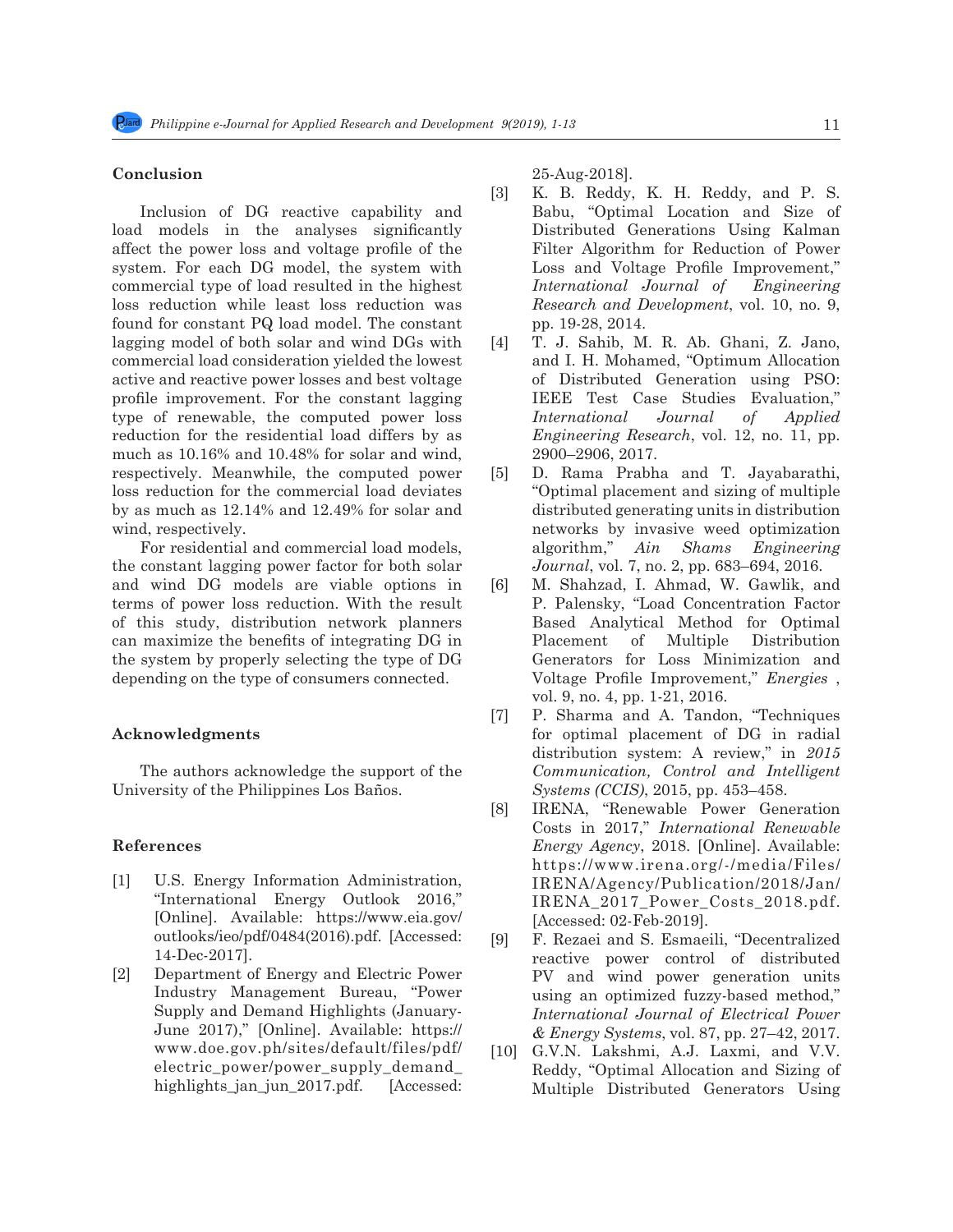# **Conclusion**

Inclusion of DG reactive capability and load models in the analyses significantly affect the power loss and voltage profile of the system. For each DG model, the system with commercial type of load resulted in the highest loss reduction while least loss reduction was found for constant PQ load model. The constant lagging model of both solar and wind DGs with commercial load consideration yielded the lowest active and reactive power losses and best voltage profile improvement. For the constant lagging type of renewable, the computed power loss reduction for the residential load differs by as much as 10.16% and 10.48% for solar and wind, respectively. Meanwhile, the computed power loss reduction for the commercial load deviates by as much as 12.14% and 12.49% for solar and wind, respectively.

For residential and commercial load models, the constant lagging power factor for both solar and wind DG models are viable options in terms of power loss reduction. With the result of this study, distribution network planners can maximize the benefits of integrating DG in the system by properly selecting the type of DG depending on the type of consumers connected.

# **Acknowledgments**

The authors acknowledge the support of the University of the Philippines Los Baños.

# **References**

- [1] U.S. Energy Information Administration, "International Energy Outlook 2016," [Online]. Available: https://www.eia.gov/ outlooks/ieo/pdf/0484(2016).pdf. [Accessed: 14-Dec-2017].
- [2] Department of Energy and Electric Power Industry Management Bureau, "Power Supply and Demand Highlights (January-June 2017)," [Online]. Available: https:// www.doe.gov.ph/sites/default/files/pdf/ electric power/power supply demand highlights\_jan\_jun\_2017.pdf. [Accessed:

25-Aug-2018].

- [3] K. B. Reddy, K. H. Reddy, and P. S. Babu, "Optimal Location and Size of Distributed Generations Using Kalman Filter Algorithm for Reduction of Power Loss and Voltage Profile Improvement," *International Journal of Engineering Research and Development*, vol. 10, no. 9, pp. 19-28, 2014.
- [4] T. J. Sahib, M. R. Ab. Ghani, Z. Jano, and I. H. Mohamed, "Optimum Allocation of Distributed Generation using PSO: IEEE Test Case Studies Evaluation," *International Journal of Applied Engineering Research*, vol. 12, no. 11, pp. 2900–2906, 2017.
- [5] D. Rama Prabha and T. Jayabarathi, "Optimal placement and sizing of multiple distributed generating units in distribution networks by invasive weed optimization algorithm," *Ain Shams Engineering Journal*, vol. 7, no. 2, pp. 683–694, 2016.
- [6] M. Shahzad, I. Ahmad, W. Gawlik, and P. Palensky, "Load Concentration Factor Based Analytical Method for Optimal Placement of Multiple Distribution Generators for Loss Minimization and Voltage Profile Improvement," *Energies* , vol. 9, no. 4, pp. 1-21, 2016.
- [7] P. Sharma and A. Tandon, "Techniques for optimal placement of DG in radial distribution system: A review," in *2015 Communication, Control and Intelligent Systems (CCIS)*, 2015, pp. 453–458.
- [8] IRENA, "Renewable Power Generation Costs in 2017," *International Renewable Energy Agency*, 2018. [Online]. Available: https://www.irena.org/-/media/Files/ IRENA/Agency/Publication/2018/Jan/ IRENA\_2017\_Power\_Costs\_2018.pdf. [Accessed: 02-Feb-2019].
- [9] F. Rezaei and S. Esmaeili, "Decentralized reactive power control of distributed PV and wind power generation units using an optimized fuzzy-based method," *International Journal of Electrical Power & Energy Systems*, vol. 87, pp. 27–42, 2017.
- [10] G.V.N. Lakshmi, A.J. Laxmi, and V.V. Reddy, "Optimal Allocation and Sizing of Multiple Distributed Generators Using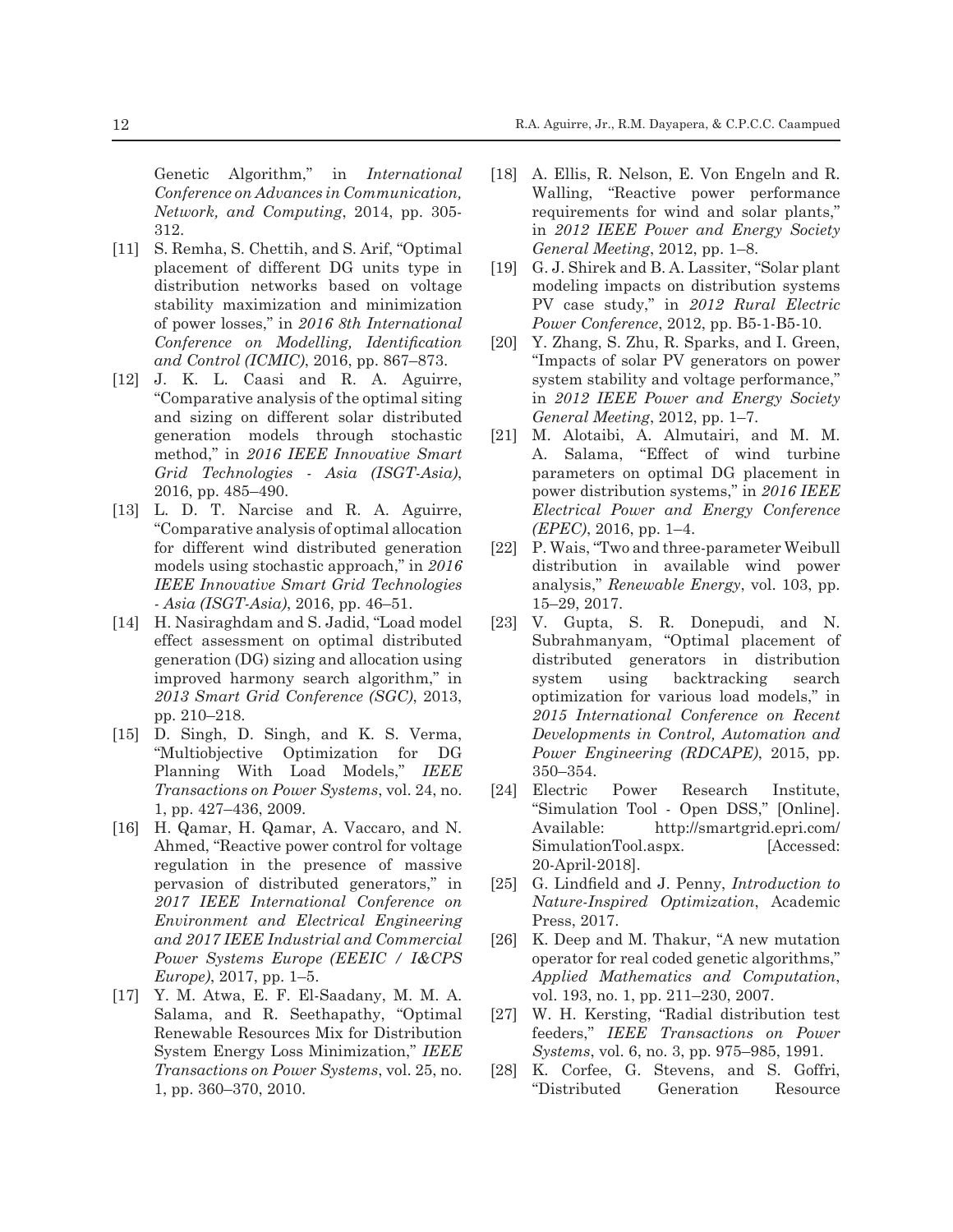Genetic Algorithm," in *International Conference on Advances in Communication, Network, and Computing*, 2014, pp. 305- 312.

- [11] S. Remha, S. Chettih, and S. Arif, "Optimal" placement of different DG units type in distribution networks based on voltage stability maximization and minimization of power losses," in *2016 8th International Conference on Modelling, Identification and Control (ICMIC)*, 2016, pp. 867–873.
- [12] J. K. L. Caasi and R. A. Aguirre, "Comparative analysis of the optimal siting and sizing on different solar distributed generation models through stochastic method," in *2016 IEEE Innovative Smart Grid Technologies - Asia (ISGT-Asia)*, 2016, pp. 485–490.
- [13] L. D. T. Narcise and R. A. Aguirre, "Comparative analysis of optimal allocation for different wind distributed generation models using stochastic approach," in *2016 IEEE Innovative Smart Grid Technologies - Asia (ISGT-Asia)*, 2016, pp. 46–51.
- [14] H. Nasiraghdam and S. Jadid, "Load model" effect assessment on optimal distributed generation (DG) sizing and allocation using improved harmony search algorithm," in *2013 Smart Grid Conference (SGC)*, 2013, pp. 210–218.
- [15] D. Singh, D. Singh, and K. S. Verma, "Multiobjective Optimization for DG Planning With Load Models," *IEEE Transactions on Power Systems*, vol. 24, no. 1, pp. 427–436, 2009.
- [16] H. Qamar, H. Qamar, A. Vaccaro, and N. Ahmed, "Reactive power control for voltage regulation in the presence of massive pervasion of distributed generators," in *2017 IEEE International Conference on Environment and Electrical Engineering and 2017 IEEE Industrial and Commercial Power Systems Europe (EEEIC / I&CPS Europe)*, 2017, pp. 1–5.
- [17] Y. M. Atwa, E. F. El-Saadany, M. M. A. Salama, and R. Seethapathy, "Optimal Renewable Resources Mix for Distribution System Energy Loss Minimization," *IEEE Transactions on Power Systems*, vol. 25, no. 1, pp. 360–370, 2010.
- [18] A. Ellis, R. Nelson, E. Von Engeln and R. Walling, "Reactive power performance requirements for wind and solar plants," in *2012 IEEE Power and Energy Society General Meeting*, 2012, pp. 1–8.
- [19] G. J. Shirek and B. A. Lassiter, "Solar plant modeling impacts on distribution systems PV case study," in *2012 Rural Electric Power Conference*, 2012, pp. B5-1-B5-10.
- [20] Y. Zhang, S. Zhu, R. Sparks, and I. Green, "Impacts of solar PV generators on power system stability and voltage performance," in *2012 IEEE Power and Energy Society General Meeting*, 2012, pp. 1–7.
- [21] M. Alotaibi, A. Almutairi, and M. M. A. Salama, "Effect of wind turbine parameters on optimal DG placement in power distribution systems," in *2016 IEEE Electrical Power and Energy Conference (EPEC)*, 2016, pp. 1–4.
- [22] P. Wais, "Two and three-parameter Weibull distribution in available wind power analysis," *Renewable Energy*, vol. 103, pp. 15–29, 2017.
- [23] V. Gupta, S. R. Donepudi, and N. Subrahmanyam, "Optimal placement of distributed generators in distribution system using backtracking search optimization for various load models," in *2015 International Conference on Recent Developments in Control, Automation and Power Engineering (RDCAPE)*, 2015, pp. 350–354.
- [24] Electric Power Research Institute, "Simulation Tool - Open DSS," [Online]. Available: http://smartgrid.epri.com/ SimulationTool.aspx. [Accessed: 20-April-2018].
- [25] G. Lindfield and J. Penny, *Introduction to Nature-Inspired Optimization*, Academic Press, 2017.
- [26] K. Deep and M. Thakur, "A new mutation operator for real coded genetic algorithms," *Applied Mathematics and Computation*, vol. 193, no. 1, pp. 211–230, 2007.
- [27] W. H. Kersting, "Radial distribution test feeders," *IEEE Transactions on Power Systems*, vol. 6, no. 3, pp. 975–985, 1991.
- [28] K. Corfee, G. Stevens, and S. Goffri, "Distributed Generation Resource